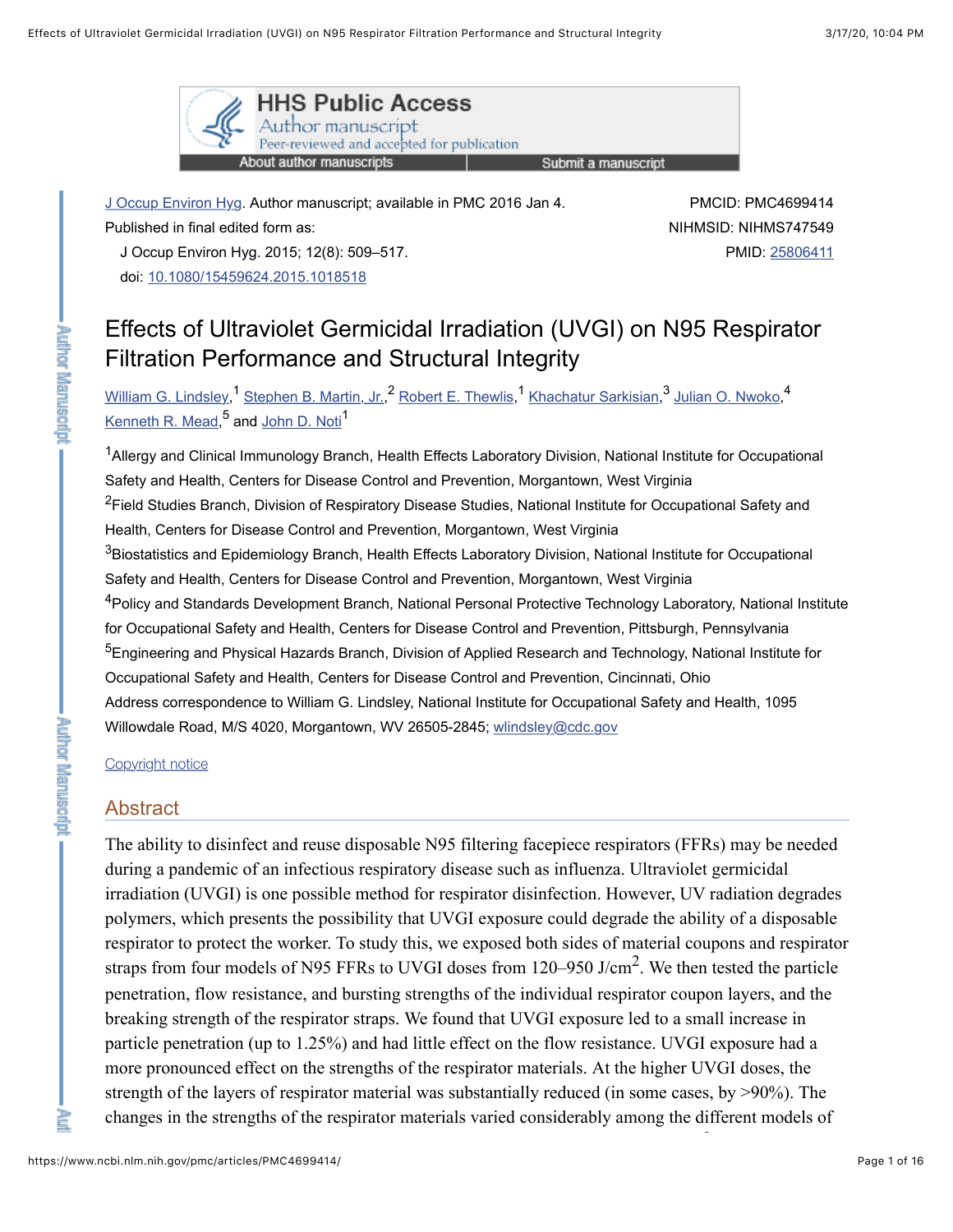

[J Occup Environ Hyg](https://www.ncbi.nlm.nih.gov/pmc/articles/PMC4699414/#). Author manuscript; available in PMC 2016 Jan 4. Published in final edited form as: J Occup Environ Hyg. 2015; 12(8): 509–517.

doi: [10.1080/15459624.2015.1018518](https://dx.doi.org/10.1080%2F15459624.2015.1018518)

PMCID: PMC4699414 NIHMSID: NIHMS747549 PMID: [25806411](https://www.ncbi.nlm.nih.gov/pubmed/25806411)

# Effects of Ultraviolet Germicidal Irradiation (UVGI) on N95 Respirator Filtration Performance and Structural Integrity

[William G. Lindsley](https://www.ncbi.nlm.nih.gov/pubmed/?term=Lindsley%20WG%5BAuthor%5D&cauthor=true&cauthor_uid=25806411), <sup>1</sup> [Stephen B. Martin, Jr.,](https://www.ncbi.nlm.nih.gov/pubmed/?term=Martin%20SB%5BAuthor%5D&cauthor=true&cauthor_uid=25806411) <sup>2</sup> [Robert E. Thewlis](https://www.ncbi.nlm.nih.gov/pubmed/?term=Thewlis%20RE%5BAuthor%5D&cauthor=true&cauthor_uid=25806411), <sup>1</sup> [Khachatur Sarkisian,](https://www.ncbi.nlm.nih.gov/pubmed/?term=Sarkisian%20K%5BAuthor%5D&cauthor=true&cauthor_uid=25806411) <sup>3</sup> [Julian O. Nwoko](https://www.ncbi.nlm.nih.gov/pubmed/?term=Nwoko%20JO%5BAuthor%5D&cauthor=true&cauthor_uid=25806411), <sup>4</sup> <u>[Kenneth R. Mead](https://www.ncbi.nlm.nih.gov/pubmed/?term=Mead%20KR%5BAuthor%5D&cauthor=true&cauthor_uid=25806411),<sup>5</sup> and [John D. Noti](https://www.ncbi.nlm.nih.gov/pubmed/?term=Noti%20JD%5BAuthor%5D&cauthor=true&cauthor_uid=25806411)</u><sup>1</sup>

<sup>1</sup>Allergy and Clinical Immunology Branch, Health Effects Laboratory Division, National Institute for Occupational Safety and Health, Centers for Disease Control and Prevention, Morgantown, West Virginia <sup>2</sup>Field Studies Branch, Division of Respiratory Disease Studies, National Institute for Occupational Safety and Health, Centers for Disease Control and Prevention, Morgantown, West Virginia  ${}^{3}$ Biostatistics and Epidemiology Branch, Health Effects Laboratory Division, National Institute for Occupational Safety and Health, Centers for Disease Control and Prevention, Morgantown, West Virginia <sup>4</sup>Policy and Standards Development Branch, National Personal Protective Technology Laboratory, National Institute for Occupational Safety and Health, Centers for Disease Control and Prevention, Pittsburgh, Pennsylvania <sup>5</sup>Engineering and Physical Hazards Branch, Division of Applied Research and Technology, National Institute for Occupational Safety and Health, Centers for Disease Control and Prevention, Cincinnati, Ohio Address correspondence to William G. Lindsley, National Institute for Occupational Safety and Health, 1095 Willowdale Road, M/S 4020, Morgantown, WV 26505-2845; [wlindsley@cdc.gov](mailto:dev@null)

[Copyright notice](https://www.ncbi.nlm.nih.gov/pmc/about/copyright/)

# Abstract

The ability to disinfect and reuse disposable N95 filtering facepiece respirators (FFRs) may be needed during a pandemic of an infectious respiratory disease such as influenza. Ultraviolet germicidal irradiation (UVGI) is one possible method for respirator disinfection. However, UV radiation degrades polymers, which presents the possibility that UVGI exposure could degrade the ability of a disposable respirator to protect the worker. To study this, we exposed both sides of material coupons and respirator straps from four models of N95 FFRs to UVGI doses from 120–950 J/cm<sup>2</sup>. We then tested the particle penetration, flow resistance, and bursting strengths of the individual respirator coupon layers, and the breaking strength of the respirator straps. We found that UVGI exposure led to a small increase in particle penetration (up to 1.25%) and had little effect on the flow resistance. UVGI exposure had a more pronounced effect on the strengths of the respirator materials. At the higher UVGI doses, the strength of the layers of respirator material was substantially reduced (in some cases, by  $>90\%$ ). The changes in the strengths of the respirator materials varied considerably among the different models of

**Property Representative** 

2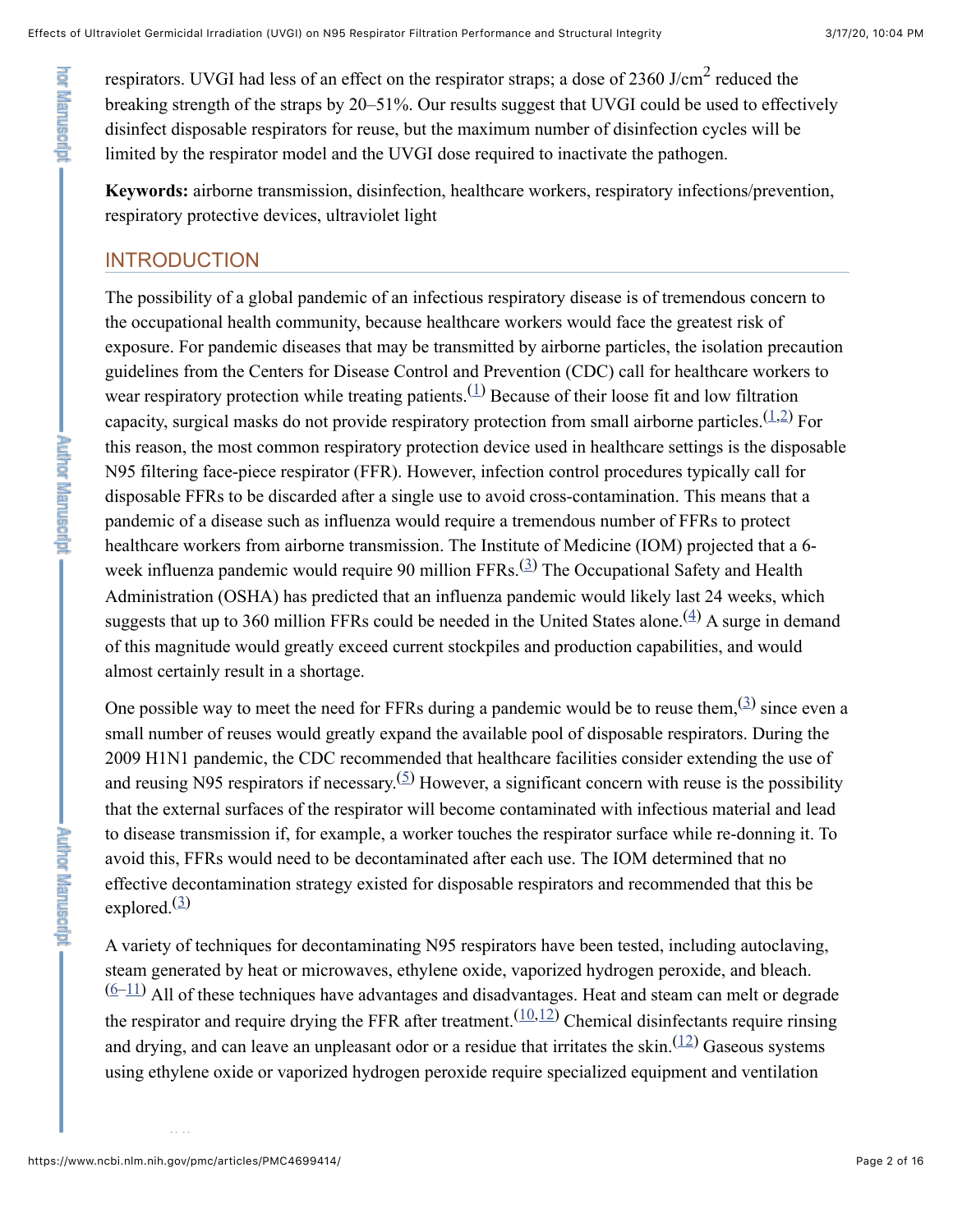respirators. UVGI had less of an effect on the respirator straps; a dose of 2360 J/cm<sup>2</sup> reduced the breaking strength of the straps by 20–51%. Our results suggest that UVGI could be used to effectively disinfect disposable respirators for reuse, but the maximum number of disinfection cycles will be limited by the respirator model and the UVGI dose required to inactivate the pathogen.

**Keywords:** airborne transmission, disinfection, healthcare workers, respiratory infections/prevention, respiratory protective devices, ultraviolet light

# INTRODUCTION

**Tor Martiacorpi** 

**Author Marwachter** 

**Author Marwschpt** -

The possibility of a global pandemic of an infectious respiratory disease is of tremendous concern to the occupational health community, because healthcare workers would face the greatest risk of exposure. For pandemic diseases that may be transmitted by airborne particles, the isolation precaution guidelines from the Centers for Disease Control and Prevention (CDC) call for healthcare workers to wear respiratory protection while treating patients.<sup>([1\)](#page-14-0)</sup> Because of their loose fit and low filtration capacity, surgical masks do not provide respiratory protection from small airborne particles.  $(1,2)$  $(1,2)$  $(1,2)$  $(1,2)$  For this reason, the most common respiratory protection device used in healthcare settings is the disposable N95 filtering face-piece respirator (FFR). However, infection control procedures typically call for disposable FFRs to be discarded after a single use to avoid cross-contamination. This means that a pandemic of a disease such as influenza would require a tremendous number of FFRs to protect healthcare workers from airborne transmission. The Institute of Medicine (IOM) projected that a 6 week influenza pandemic would require 90 million  $FFRs$ .  $(3)$  $(3)$  The Occupational Safety and Health Administration (OSHA) has predicted that an influenza pandemic would likely last 24 weeks, which suggests that up to 360 million FFRs could be needed in the United States alone.<sup>[\(4](#page-14-3))</sup> A surge in demand of this magnitude would greatly exceed current stockpiles and production capabilities, and would almost certainly result in a shortage.

One possible way to meet the need for FFRs during a pandemic would be to reuse them,  $(3)$  $(3)$  since even a small number of reuses would greatly expand the available pool of disposable respirators. During the 2009 H1N1 pandemic, the CDC recommended that healthcare facilities consider extending the use of and reusing N95 respirators if necessary.<sup> $(5)$  $(5)$ </sup> However, a significant concern with reuse is the possibility that the external surfaces of the respirator will become contaminated with infectious material and lead to disease transmission if, for example, a worker touches the respirator surface while re-donning it. To avoid this, FFRs would need to be decontaminated after each use. The IOM determined that no effective decontamination strategy existed for disposable respirators and recommended that this be explored.<sup>[\(3](#page-14-2))</sup>

A variety of techniques for decontaminating N95 respirators have been tested, including autoclaving, steam generated by heat or microwaves, ethylene oxide, vaporized hydrogen peroxide, and bleach.  $(6-11)$  $(6-11)$  All of these techniques have advantages and disadvantages. Heat and steam can melt or degrade the respirator and require drying the FFR after treatment.  $(10,12)$  $(10,12)$  $(10,12)$  $(10,12)$  Chemical disinfectants require rinsing and drying, and can leave an unpleasant odor or a residue that irritates the skin.  $(12)$  $(12)$  Gaseous systems using ethylene oxide or vaporized hydrogen peroxide require specialized equipment and ventilation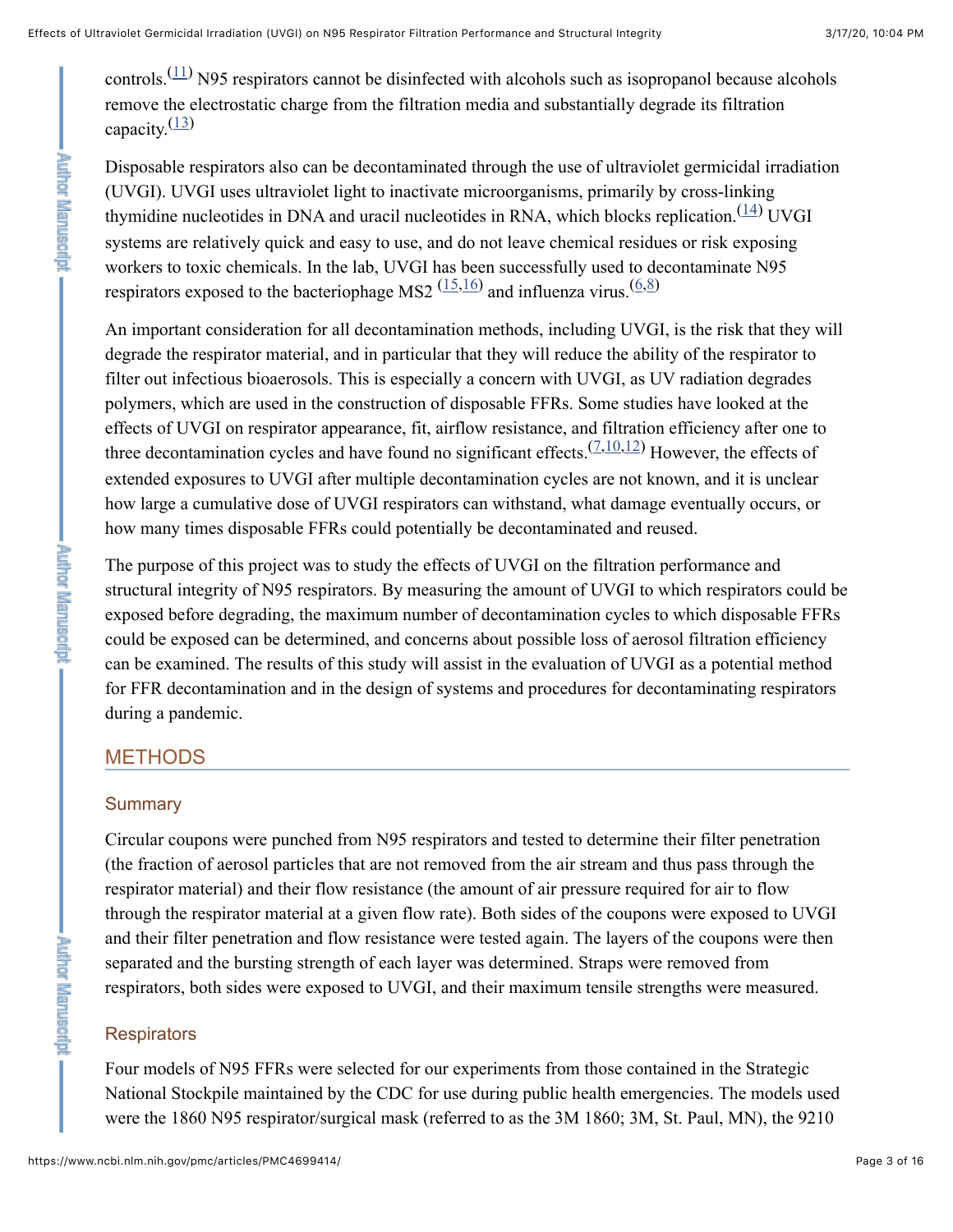controls.  $(11)$  $(11)$  N95 respirators cannot be disinfected with alcohols such as isopropanol because alcohols remove the electrostatic charge from the filtration media and substantially degrade its filtration capacity. $\frac{(13)}{2}$  $\frac{(13)}{2}$  $\frac{(13)}{2}$ 

Disposable respirators also can be decontaminated through the use of ultraviolet germicidal irradiation (UVGI). UVGI uses ultraviolet light to inactivate microorganisms, primarily by cross-linking thymidine nucleotides in DNA and uracil nucleotides in RNA, which blocks replication.  $(14)$  $(14)$  UVGI systems are relatively quick and easy to use, and do not leave chemical residues or risk exposing workers to toxic chemicals. In the lab, UVGI has been successfully used to decontaminate N95 respirators exposed to the bacteriophage MS2  $\frac{(15,16)}{2}$  $\frac{(15,16)}{2}$  $\frac{(15,16)}{2}$  $\frac{(15,16)}{2}$  and influenza virus.  $\frac{(6,8)}{2}$  $\frac{(6,8)}{2}$  $\frac{(6,8)}{2}$  $\frac{(6,8)}{2}$  $\frac{(6,8)}{2}$ 

An important consideration for all decontamination methods, including UVGI, is the risk that they will degrade the respirator material, and in particular that they will reduce the ability of the respirator to filter out infectious bioaerosols. This is especially a concern with UVGI, as UV radiation degrades polymers, which are used in the construction of disposable FFRs. Some studies have looked at the effects of UVGI on respirator appearance, fit, airflow resistance, and filtration efficiency after one to three decontamination cycles and have found no significant effects.  $(7, 10, 12)$  $(7, 10, 12)$  $(7, 10, 12)$  $(7, 10, 12)$  However, the effects of extended exposures to UVGI after multiple decontamination cycles are not known, and it is unclear how large a cumulative dose of UVGI respirators can withstand, what damage eventually occurs, or how many times disposable FFRs could potentially be decontaminated and reused.

The purpose of this project was to study the effects of UVGI on the filtration performance and structural integrity of N95 respirators. By measuring the amount of UVGI to which respirators could be exposed before degrading, the maximum number of decontamination cycles to which disposable FFRs could be exposed can be determined, and concerns about possible loss of aerosol filtration efficiency can be examined. The results of this study will assist in the evaluation of UVGI as a potential method for FFR decontamination and in the design of systems and procedures for decontaminating respirators during a pandemic.

# **METHODS**

### **Summary**

**Adjactments** 

**Author Marwescript** 

**Author Marnesotpt** 

Circular coupons were punched from N95 respirators and tested to determine their filter penetration (the fraction of aerosol particles that are not removed from the air stream and thus pass through the respirator material) and their flow resistance (the amount of air pressure required for air to flow through the respirator material at a given flow rate). Both sides of the coupons were exposed to UVGI and their filter penetration and flow resistance were tested again. The layers of the coupons were then separated and the bursting strength of each layer was determined. Straps were removed from respirators, both sides were exposed to UVGI, and their maximum tensile strengths were measured.

## **Respirators**

Four models of N95 FFRs were selected for our experiments from those contained in the Strategic National Stockpile maintained by the CDC for use during public health emergencies. The models used were the 1860 N95 respirator/surgical mask (referred to as the 3M 1860; 3M, St. Paul, MN), the 9210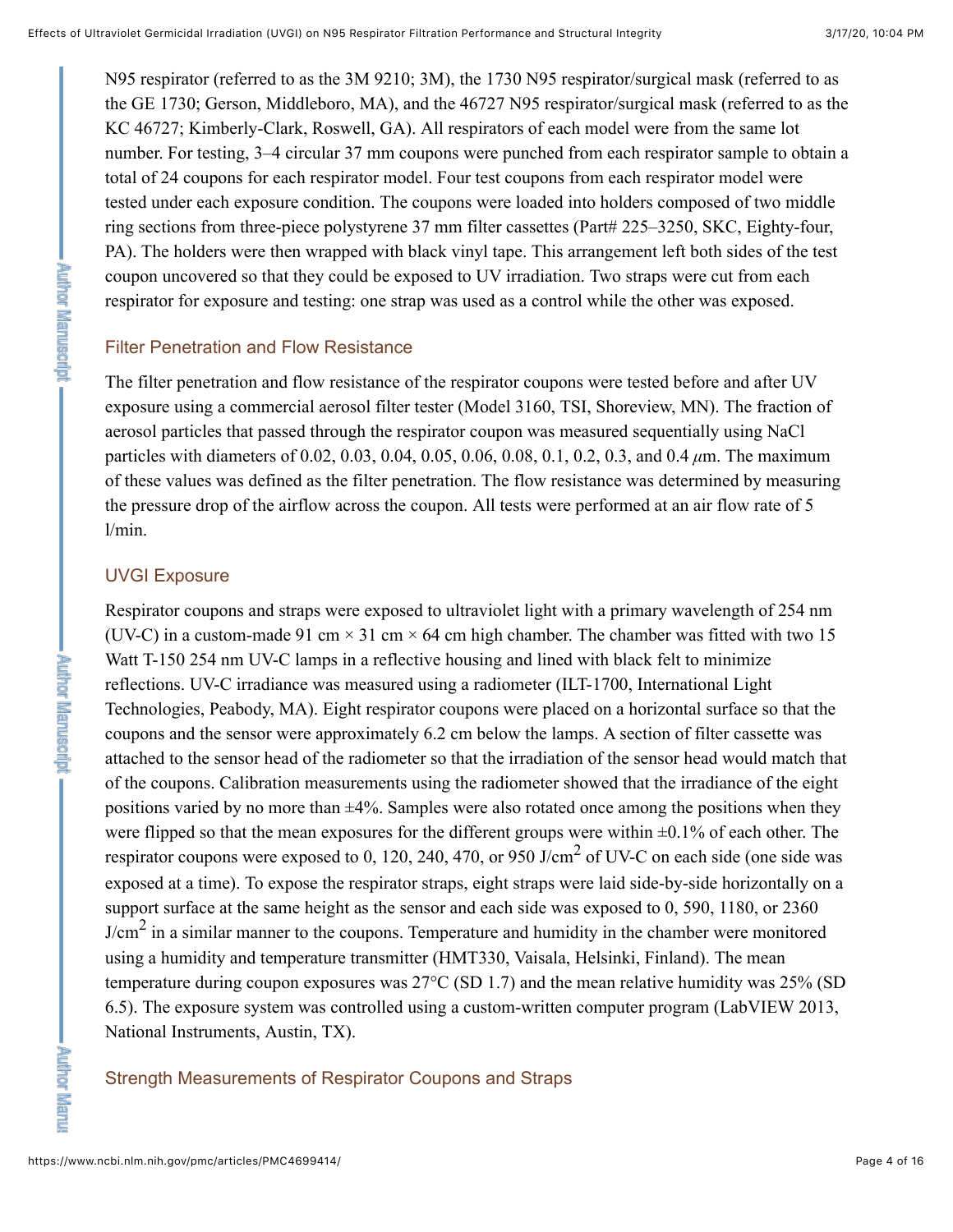N95 respirator (referred to as the 3M 9210; 3M), the 1730 N95 respirator/surgical mask (referred to as the GE 1730; Gerson, Middleboro, MA), and the 46727 N95 respirator/surgical mask (referred to as the KC 46727; Kimberly-Clark, Roswell, GA). All respirators of each model were from the same lot number. For testing, 3–4 circular 37 mm coupons were punched from each respirator sample to obtain a total of 24 coupons for each respirator model. Four test coupons from each respirator model were tested under each exposure condition. The coupons were loaded into holders composed of two middle ring sections from three-piece polystyrene 37 mm filter cassettes (Part# 225–3250, SKC, Eighty-four, PA). The holders were then wrapped with black vinyl tape. This arrangement left both sides of the test coupon uncovered so that they could be exposed to UV irradiation. Two straps were cut from each respirator for exposure and testing: one strap was used as a control while the other was exposed.

#### Filter Penetration and Flow Resistance

The filter penetration and flow resistance of the respirator coupons were tested before and after UV exposure using a commercial aerosol filter tester (Model 3160, TSI, Shoreview, MN). The fraction of aerosol particles that passed through the respirator coupon was measured sequentially using NaCl particles with diameters of 0.02, 0.03, 0.04, 0.05, 0.06, 0.08, 0.1, 0.2, 0.3, and 0.4 *µ*m. The maximum of these values was defined as the filter penetration. The flow resistance was determined by measuring the pressure drop of the airflow across the coupon. All tests were performed at an air flow rate of 5 l/min.

### UVGI Exposure

**Author Marruscript** 

**Author Marnesotipt** 

**Author Martus** 

Respirator coupons and straps were exposed to ultraviolet light with a primary wavelength of 254 nm (UV-C) in a custom-made 91 cm  $\times$  31 cm  $\times$  64 cm high chamber. The chamber was fitted with two 15 Watt T-150 254 nm UV-C lamps in a reflective housing and lined with black felt to minimize reflections. UV-C irradiance was measured using a radiometer (ILT-1700, International Light Technologies, Peabody, MA). Eight respirator coupons were placed on a horizontal surface so that the coupons and the sensor were approximately 6.2 cm below the lamps. A section of filter cassette was attached to the sensor head of the radiometer so that the irradiation of the sensor head would match that of the coupons. Calibration measurements using the radiometer showed that the irradiance of the eight positions varied by no more than  $\pm 4\%$ . Samples were also rotated once among the positions when they were flipped so that the mean exposures for the different groups were within  $\pm 0.1\%$  of each other. The respirator coupons were exposed to 0, 120, 240, 470, or 950 J/cm<sup>2</sup> of UV-C on each side (one side was exposed at a time). To expose the respirator straps, eight straps were laid side-by-side horizontally on a support surface at the same height as the sensor and each side was exposed to 0, 590, 1180, or 2360  $J/cm<sup>2</sup>$  in a similar manner to the coupons. Temperature and humidity in the chamber were monitored using a humidity and temperature transmitter (HMT330, Vaisala, Helsinki, Finland). The mean temperature during coupon exposures was 27°C (SD 1.7) and the mean relative humidity was 25% (SD 6.5). The exposure system was controlled using a custom-written computer program (LabVIEW 2013, National Instruments, Austin, TX).

Strength Measurements of Respirator Coupons and Straps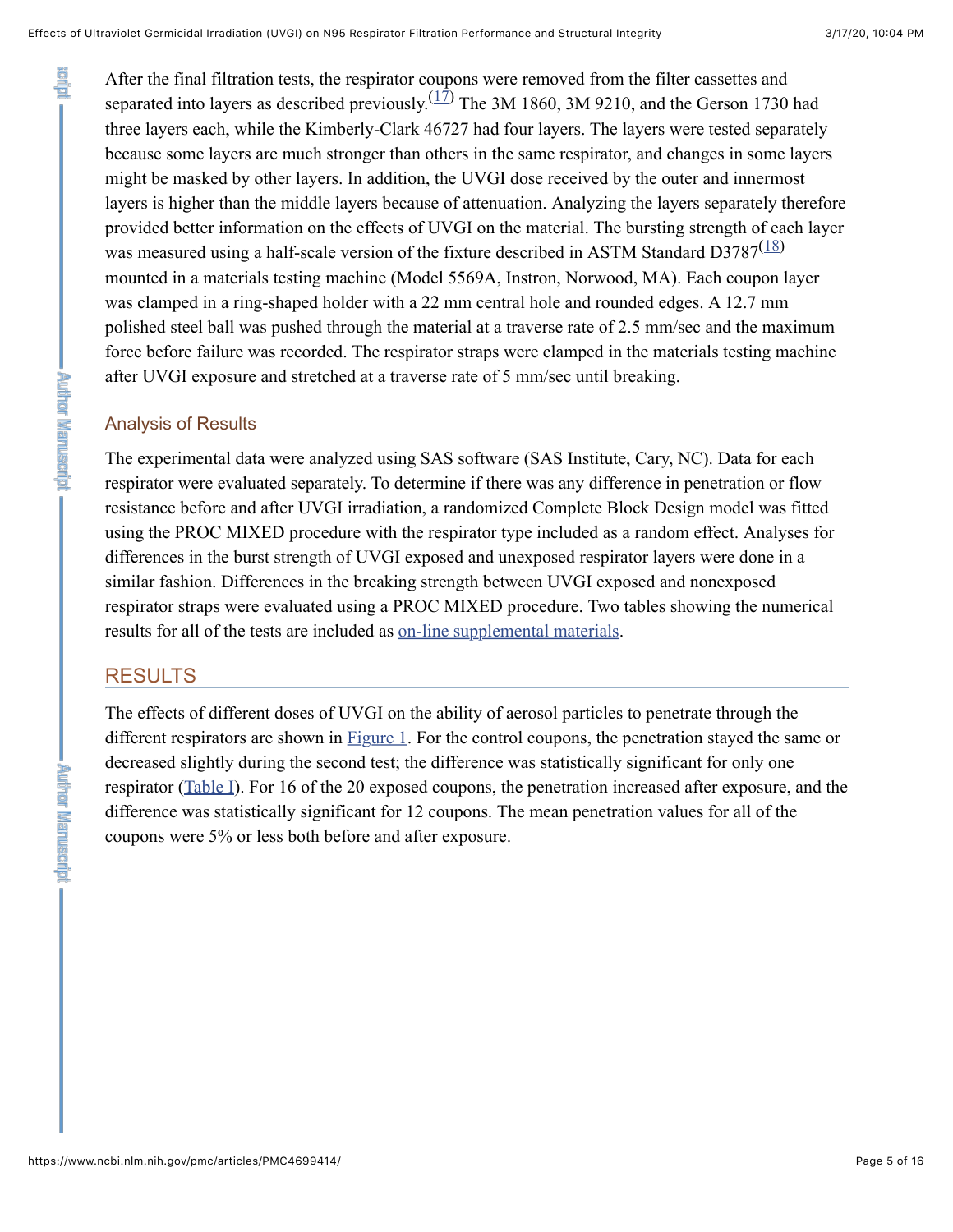After the final filtration tests, the respirator coupons were removed from the filter cassettes and separated into layers as described previously.  $(17)$  $(17)$  The 3M 1860, 3M 9210, and the Gerson 1730 had three layers each, while the Kimberly-Clark 46727 had four layers. The layers were tested separately because some layers are much stronger than others in the same respirator, and changes in some layers might be masked by other layers. In addition, the UVGI dose received by the outer and innermost layers is higher than the middle layers because of attenuation. Analyzing the layers separately therefore provided better information on the effects of UVGI on the material. The bursting strength of each layer was measured using a half-scale version of the fixture described in ASTM Standard  $D3787^{\textcirc}(18)$  $D3787^{\textcirc}(18)$  $D3787^{\textcirc}(18)$ mounted in a materials testing machine (Model 5569A, Instron, Norwood, MA). Each coupon layer was clamped in a ring-shaped holder with a 22 mm central hole and rounded edges. A 12.7 mm polished steel ball was pushed through the material at a traverse rate of 2.5 mm/sec and the maximum force before failure was recorded. The respirator straps were clamped in the materials testing machine after UVGI exposure and stretched at a traverse rate of 5 mm/sec until breaking.

#### Analysis of Results

ë

**Author Martiacetpr** 

**Purbos Maruscript** 

The experimental data were analyzed using SAS software (SAS Institute, Cary, NC). Data for each respirator were evaluated separately. To determine if there was any difference in penetration or flow resistance before and after UVGI irradiation, a randomized Complete Block Design model was fitted using the PROC MIXED procedure with the respirator type included as a random effect. Analyses for differences in the burst strength of UVGI exposed and unexposed respirator layers were done in a similar fashion. Differences in the breaking strength between UVGI exposed and nonexposed respirator straps were evaluated using a PROC MIXED procedure. Two tables showing the numerical results for all of the tests are included as <u>on-line supplemental materials</u>.

#### RESULTS

The effects of different doses of UVGI on the ability of aerosol particles to penetrate through the different respirators are shown in [Figure 1.](https://www.ncbi.nlm.nih.gov/pmc/articles/PMC4699414/figure/F1/) For the control coupons, the penetration stayed the same or decreased slightly during the second test; the difference was statistically significant for only one respirator [\(Table I\)](https://www.ncbi.nlm.nih.gov/pmc/articles/PMC4699414/table/T1/). For 16 of the 20 exposed coupons, the penetration increased after exposure, and the difference was statistically significant for 12 coupons. The mean penetration values for all of the coupons were 5% or less both before and after exposure.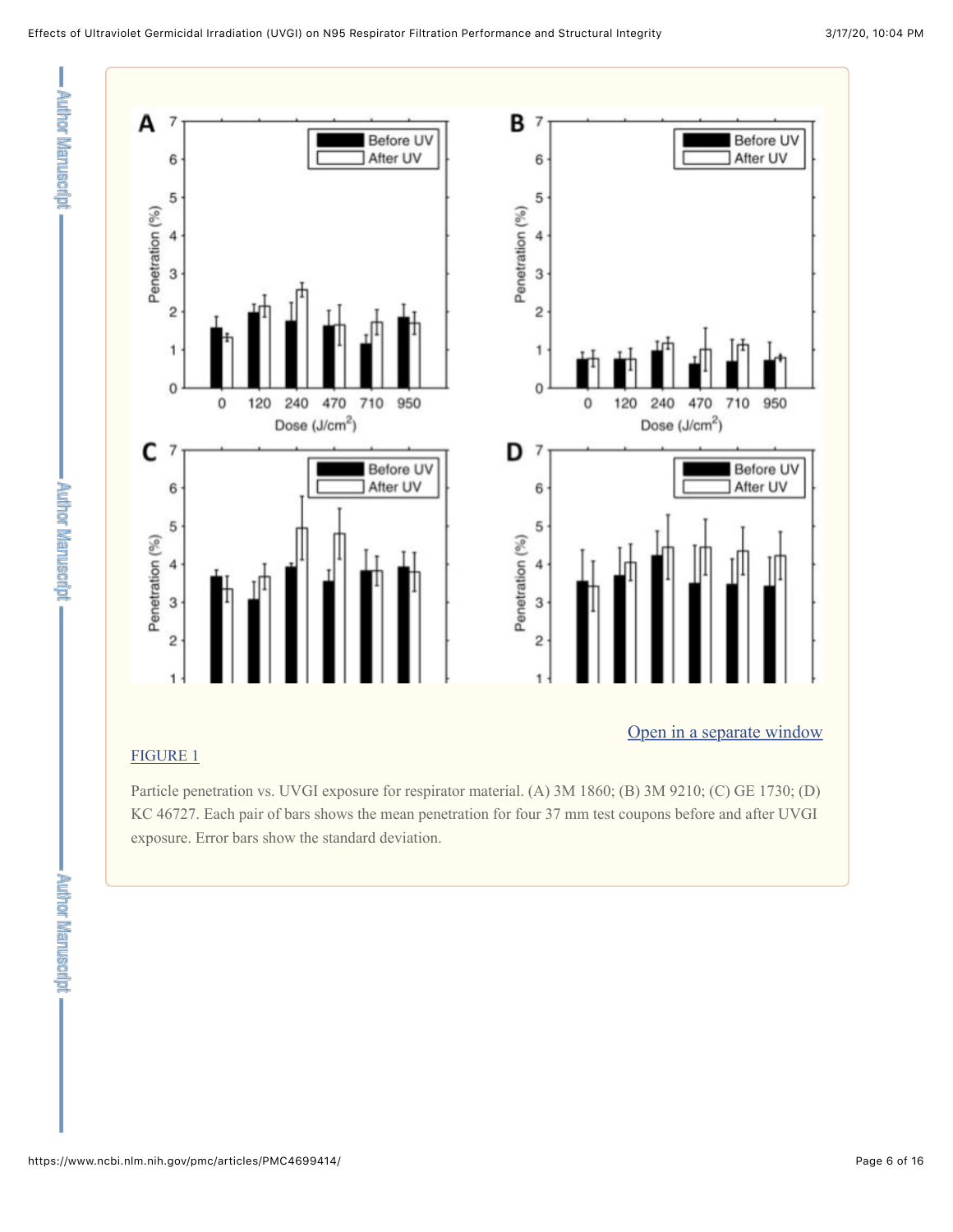

**September 2018**<br>
1

**Author Marwaght** 

**Formal Reports** 

Particle penetration vs. UVGI exposure for respirator material. (A) 3M 1860; (B) 3M 9210; (C) GE 1730; (D) KC 46727. Each pair of bars shows the mean penetration for four 37 mm test coupons before and after UVGI exposure. Error bars show the standard deviation.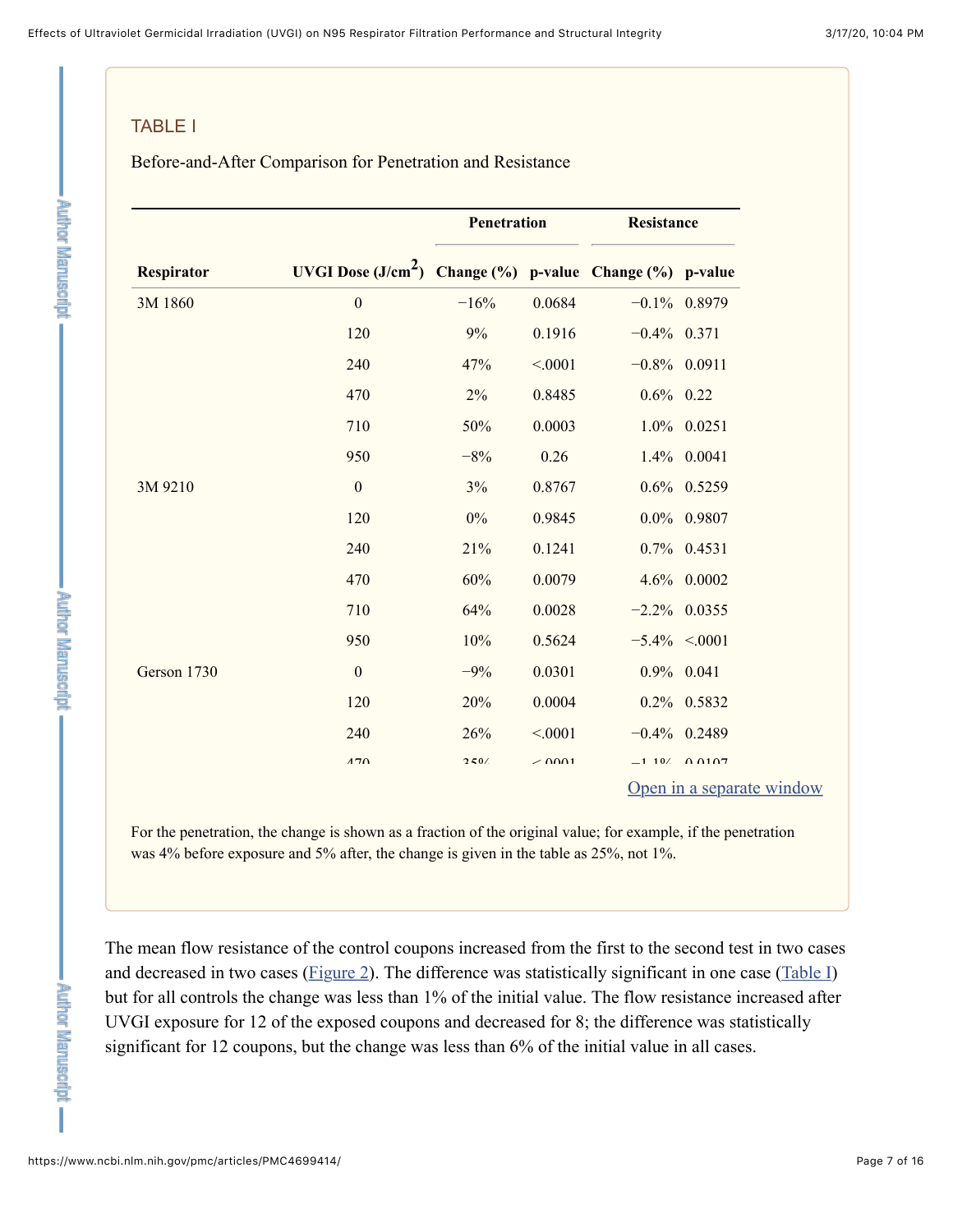## TABLE I

**Printed Report** 

**Allischuschus** 

**Author Maruscript —** 

#### Before-and-After Comparison for Penetration and Resistance

|                   |                     | Penetration |             | <b>Resistance</b>                     |                 |
|-------------------|---------------------|-------------|-------------|---------------------------------------|-----------------|
| <b>Respirator</b> | UVGI Dose $(J/cm2)$ |             |             | Change (%) p-value Change (%) p-value |                 |
| 3M 1860           | $\boldsymbol{0}$    | $-16%$      | 0.0684      |                                       | $-0.1\%$ 0.8979 |
|                   | 120                 | 9%          | 0.1916      | $-0.4\%$ 0.371                        |                 |
|                   | 240                 | 47%         | < 0001      |                                       | $-0.8\%$ 0.0911 |
|                   | 470                 | 2%          | 0.8485      | $0.6\%$ 0.22                          |                 |
|                   | 710                 | 50%         | 0.0003      |                                       | 1.0% 0.0251     |
|                   | 950                 | $-8%$       | 0.26        |                                       | 1.4% 0.0041     |
| 3M 9210           | $\boldsymbol{0}$    | 3%          | 0.8767      |                                       | 0.6% 0.5259     |
|                   | 120                 | $0\%$       | 0.9845      |                                       | 0.0% 0.9807     |
|                   | 240                 | 21%         | 0.1241      |                                       | 0.7% 0.4531     |
|                   | 470                 | 60%         | 0.0079      |                                       | 4.6% 0.0002     |
|                   | 710                 | 64%         | 0.0028      |                                       | $-2.2\%$ 0.0355 |
|                   | 950                 | 10%         | 0.5624      |                                       | $-5.4\%$ <.0001 |
| Gerson 1730       | $\boldsymbol{0}$    | $-9%$       | 0.0301      |                                       | 0.9% 0.041      |
|                   | 120                 | 20%         | 0.0004      |                                       | 0.2% 0.5832     |
|                   | 240                 | 26%         | < 0001      |                                       | $-0.4\%$ 0.2489 |
|                   | 170                 | 250/        | $\sim$ 0001 | 1 10/                                 | 0.0107          |

For the penetration, the change is shown as a fraction of the original value; for example, if the penetration was 4% before exposure and 5% after, the change is given in the table as 25%, not 1%.

The mean flow resistance of the control coupons increased from the first to the second test in two cases and decreased in two cases [\(Figure 2](https://www.ncbi.nlm.nih.gov/pmc/articles/PMC4699414/figure/F2/)). The difference was statistically significant in one case [\(Table I](https://www.ncbi.nlm.nih.gov/pmc/articles/PMC4699414/table/T1/)) but for all controls the change was less than 1% of the initial value. The flow resistance increased after UVGI exposure for 12 of the exposed coupons and decreased for 8; the difference was statistically significant for 12 coupons, but the change was less than 6% of the initial value in all cases.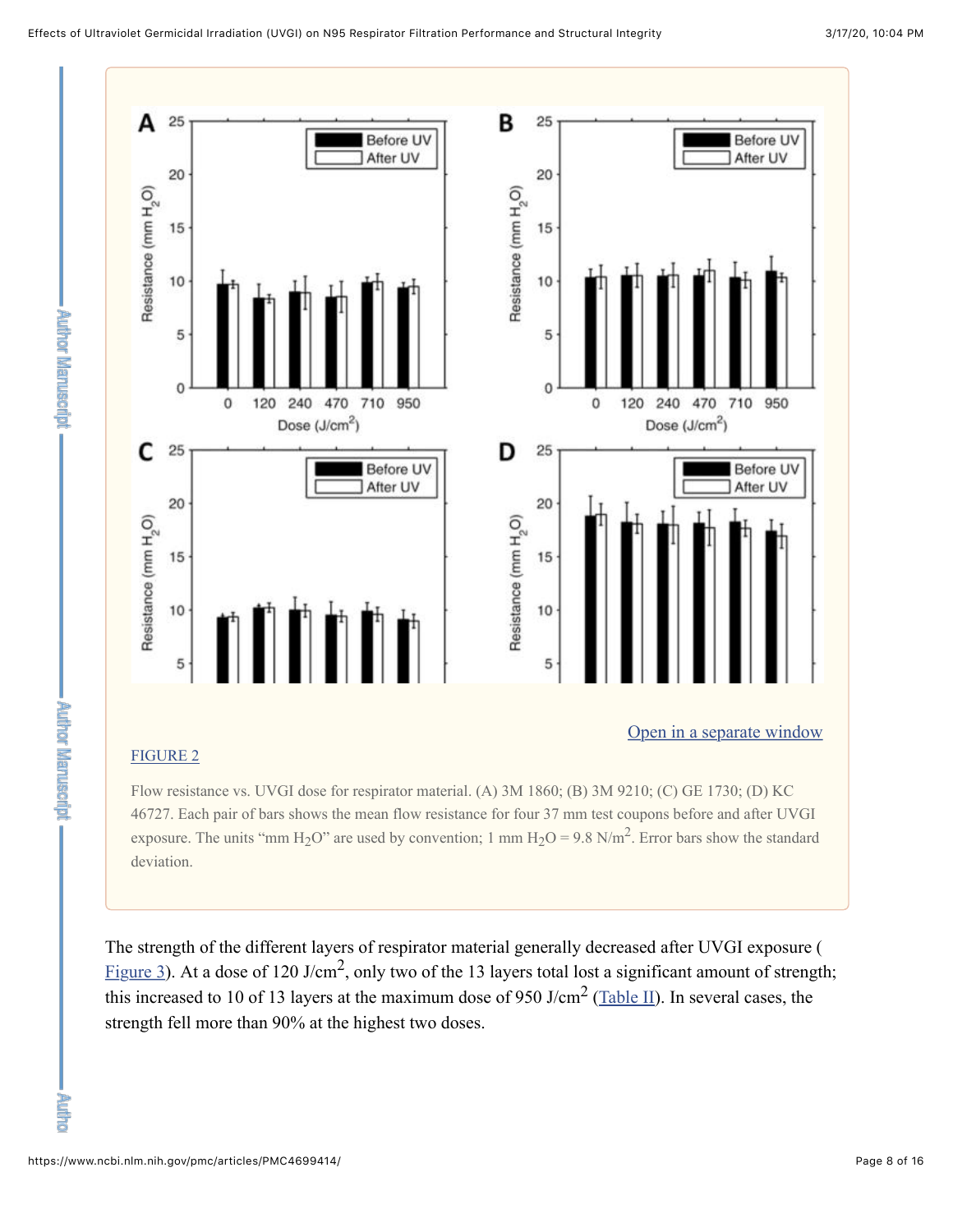

**Author Marwachth** 

**Author Marwashpr** 

**Author** 

Flow resistance vs. UVGI dose for respirator material. (A) 3M 1860; (B) 3M 9210; (C) GE 1730; (D) KC 46727. Each pair of bars shows the mean flow resistance for four 37 mm test coupons before and after UVGI exposure. The units "mm H<sub>2</sub>O" are used by convention; 1 mm H<sub>2</sub>O = 9.8 N/m<sup>2</sup>. Error bars show the standard deviation.

The strength of the different layers of respirator material generally decreased after UVGI exposure ( [Figure 3](https://www.ncbi.nlm.nih.gov/pmc/articles/PMC4699414/figure/F3/)). At a dose of 120 J/cm<sup>2</sup>, only two of the 13 layers total lost a significant amount of strength; this increased to 10 of 13 layers at the maximum dose of 950 J/cm<sup>2</sup> ([Table II\)](https://www.ncbi.nlm.nih.gov/pmc/articles/PMC4699414/table/T2/). In several cases, the strength fell more than 90% at the highest two doses.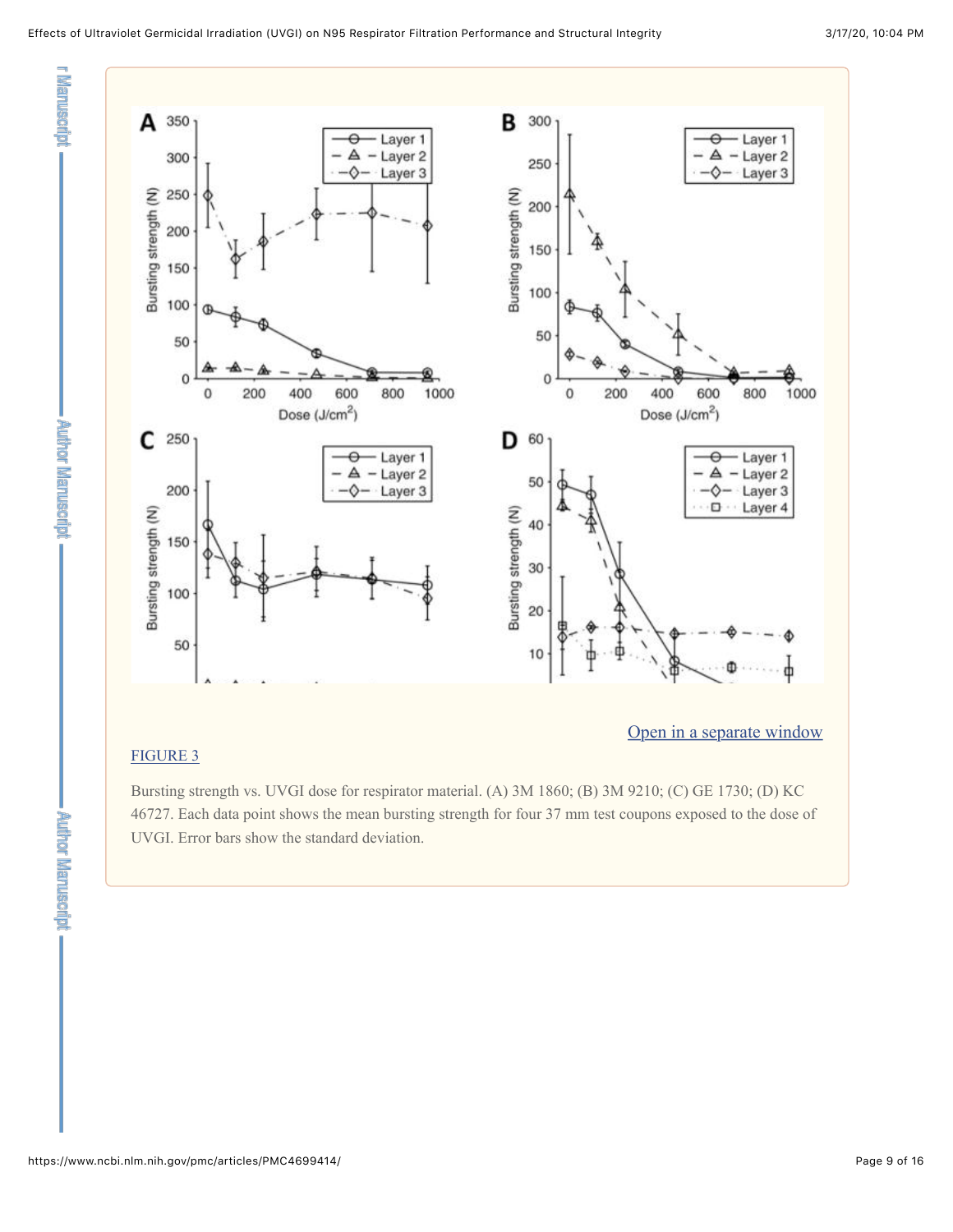

Ï

**Author Marwscript** 

Bursting strength vs. UVGI dose for respirator material. (A) 3M 1860; (B) 3M 9210; (C) GE 1730; (D) KC 46727. Each data point shows the mean bursting strength for four 37 mm test coupons exposed to the dose of UVGI. Error bars show the standard deviation.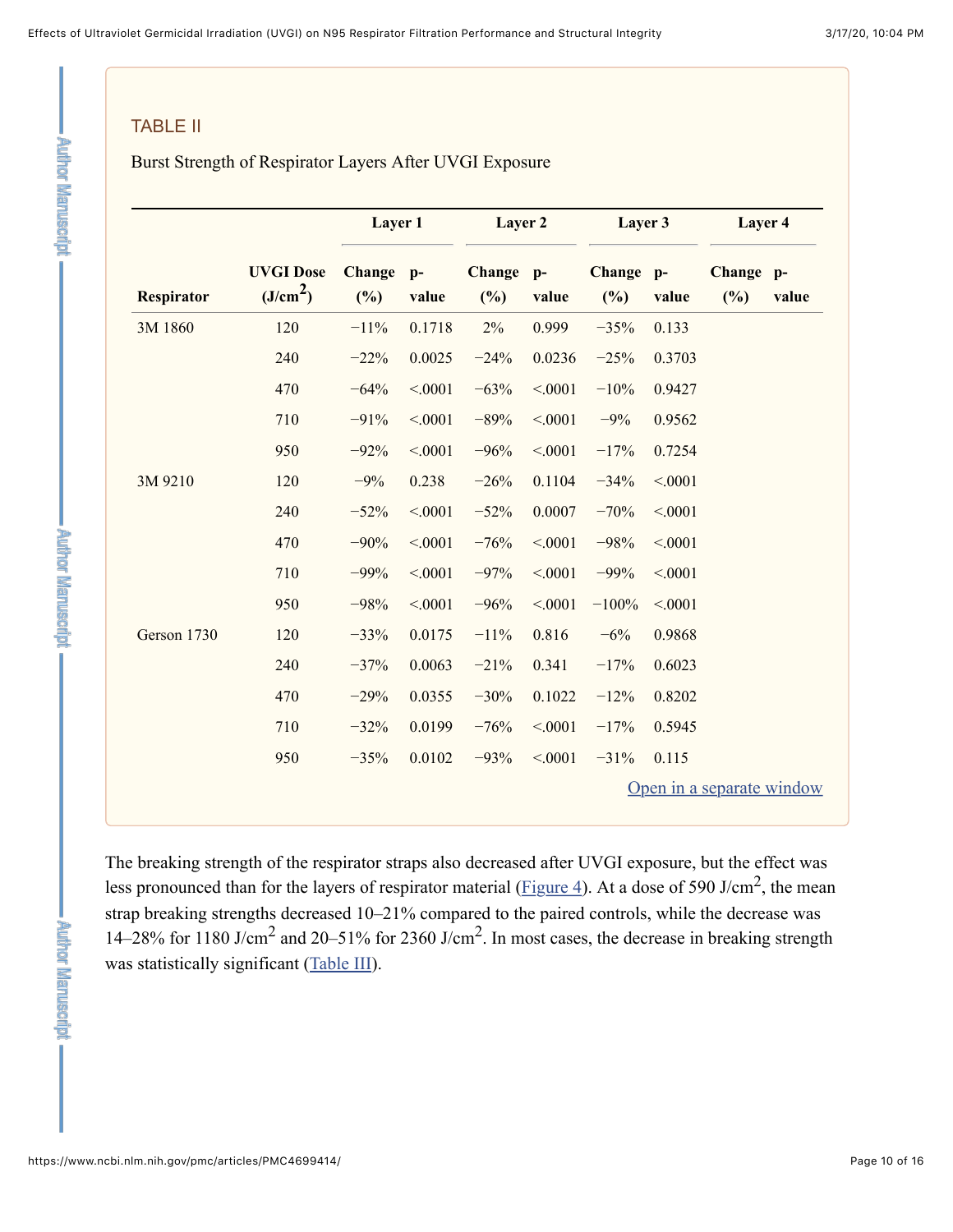### TABLE II

**Author Marnesotpt** 

**Author Marwashpr** 

**Author Marweaript** 

#### Burst Strength of Respirator Layers After UVGI Exposure

| <b>Respirator</b> | <b>UVGI Dose</b><br>(J/cm <sup>2</sup> ) | Layer 1       |               | Layer 2       |               | Layer 3          |        | Layer 4                   |       |
|-------------------|------------------------------------------|---------------|---------------|---------------|---------------|------------------|--------|---------------------------|-------|
|                   |                                          | Change<br>(%) | $p-$<br>value | Change<br>(%) | $p-$<br>value | Change p-<br>(%) | value  | Change p-<br>(%)          | value |
| 3M 1860           | 120                                      | $-11%$        | 0.1718        | 2%            | 0.999         | $-35%$           | 0.133  |                           |       |
|                   | 240                                      | $-22%$        | 0.0025        | $-24%$        | 0.0236        | $-25%$           | 0.3703 |                           |       |
|                   | 470                                      | $-64%$        | < 0001        | $-63%$        | < 0001        | $-10%$           | 0.9427 |                           |       |
|                   | 710                                      | $-91%$        | < 0.001       | $-89%$        | < 0001        | $-9%$            | 0.9562 |                           |       |
|                   | 950                                      | $-92%$        | < 0001        | $-96%$        | < 0001        | $-17%$           | 0.7254 |                           |       |
| 3M 9210           | 120                                      | $-9%$         | 0.238         | $-26%$        | 0.1104        | $-34%$           | < 0001 |                           |       |
|                   | 240                                      | $-52%$        | < 0001        | $-52%$        | 0.0007        | $-70%$           | < 0001 |                           |       |
|                   | 470                                      | $-90%$        | < 0.001       | $-76%$        | < 0001        | $-98%$           | < 0001 |                           |       |
|                   | 710                                      | $-99%$        | < 0001        | $-97%$        | < 0001        | $-99%$           | < 0001 |                           |       |
|                   | 950                                      | $-98%$        | < 0001        | $-96%$        | < 0001        | $-100%$          | < 0001 |                           |       |
| Gerson 1730       | 120                                      | $-33%$        | 0.0175        | $-11%$        | 0.816         | $-6%$            | 0.9868 |                           |       |
|                   | 240                                      | $-37%$        | 0.0063        | $-21%$        | 0.341         | $-17%$           | 0.6023 |                           |       |
|                   | 470                                      | $-29%$        | 0.0355        | $-30%$        | 0.1022        | $-12%$           | 0.8202 |                           |       |
|                   | 710                                      | $-32%$        | 0.0199        | $-76%$        | < 0001        | $-17%$           | 0.5945 |                           |       |
|                   | 950                                      | $-35%$        | 0.0102        | $-93%$        | < 0001        | $-31%$           | 0.115  |                           |       |
|                   |                                          |               |               |               |               |                  |        | Open in a separate window |       |

The breaking strength of the respirator straps also decreased after UVGI exposure, but the effect was less pronounced than for the layers of respirator material (*Figure 4*). At a dose of 590 J/cm<sup>2</sup>, the mean strap breaking strengths decreased 10–21% compared to the paired controls, while the decrease was 14–28% for 1180 J/cm<sup>2</sup> and 20–51% for 2360 J/cm<sup>2</sup>. In most cases, the decrease in breaking strength was statistically significant [\(Table III\)](https://www.ncbi.nlm.nih.gov/pmc/articles/PMC4699414/table/T3/).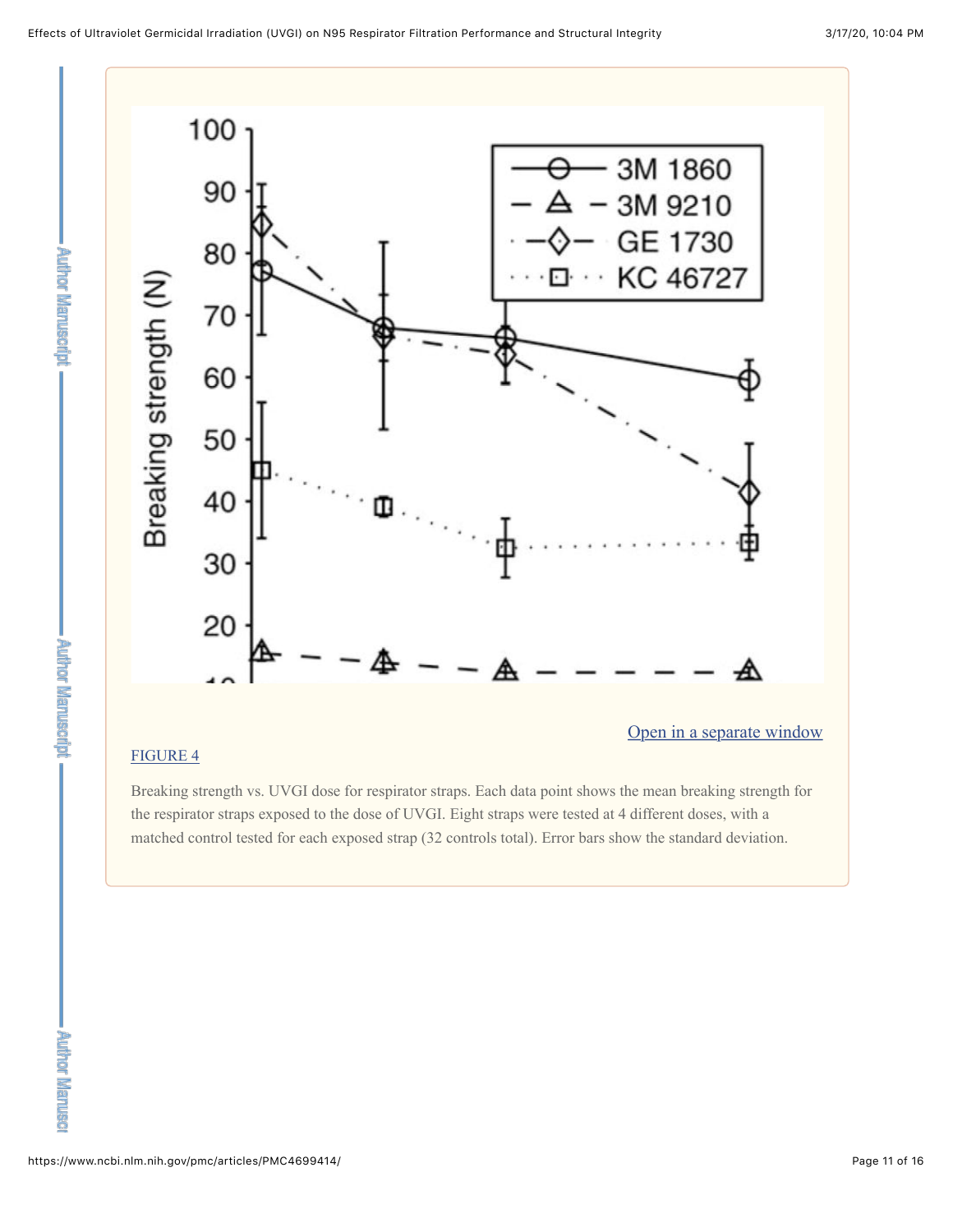

**Author Marnestipt** 

**Author Marwasitat** 

**Author Marwac** 

Breaking strength vs. UVGI dose for respirator straps. Each data point shows the mean breaking strength for the respirator straps exposed to the dose of UVGI. Eight straps were tested at 4 different doses, with a matched control tested for each exposed strap (32 controls total). Error bars show the standard deviation.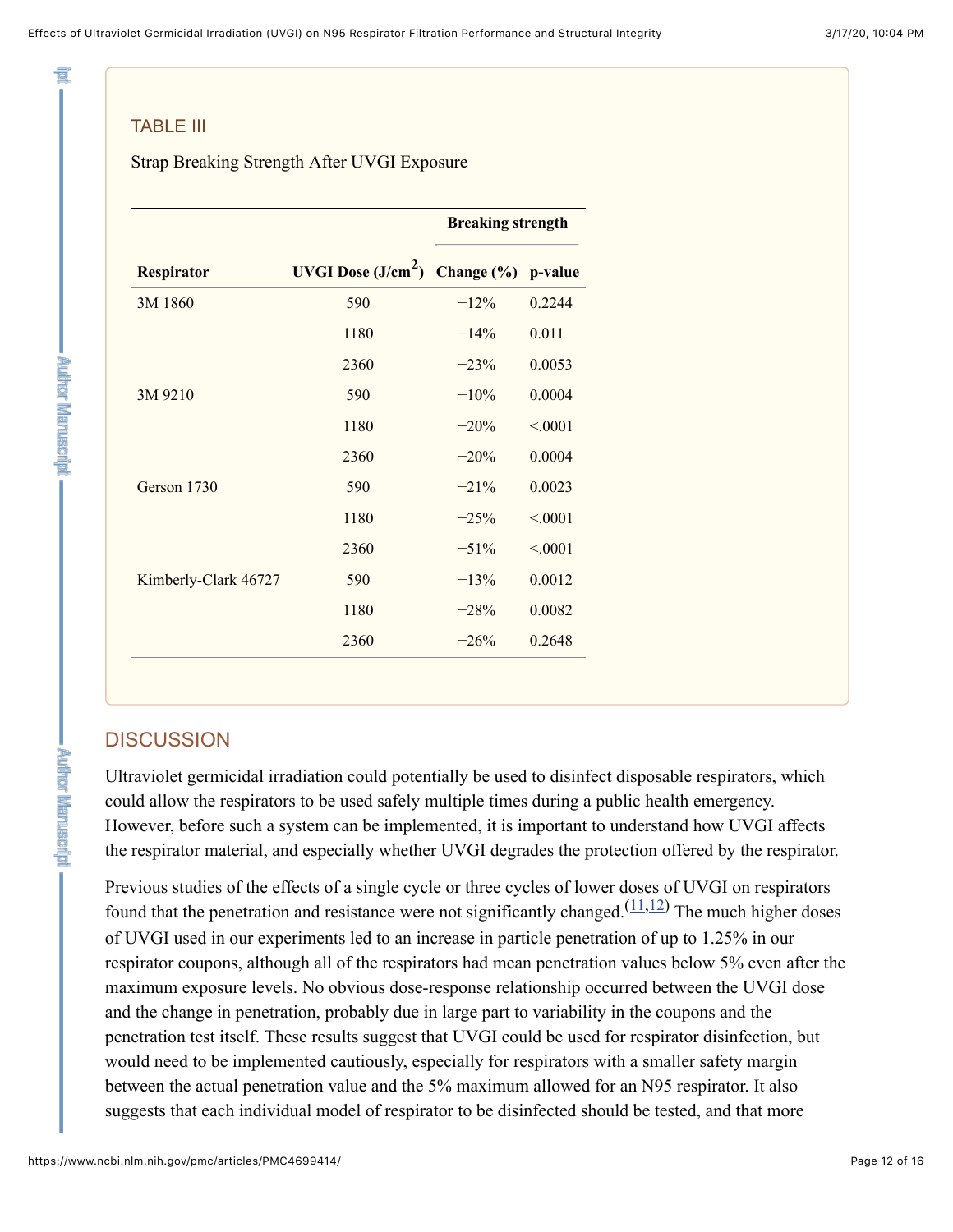## TABLE III

듈

**Property Figure** 

**Author Marwassipt** 

#### Strap Breaking Strength After UVGI Exposure

|                      |                             | <b>Breaking strength</b> |         |  |  |
|----------------------|-----------------------------|--------------------------|---------|--|--|
| <b>Respirator</b>    | <b>UVGI</b> Dose $(J/cm^2)$ | Change (%) p-value       |         |  |  |
| 3M 1860              | 590                         | $-12%$                   | 0.2244  |  |  |
|                      | 1180                        | $-14%$                   | 0.011   |  |  |
|                      | 2360                        | $-23%$                   | 0.0053  |  |  |
| 3M 9210              | 590                         | $-10%$                   | 0.0004  |  |  |
|                      | 1180                        | $-20%$                   | < 0001  |  |  |
|                      | 2360                        | $-20%$                   | 0.0004  |  |  |
| Gerson 1730          | 590                         | $-21\%$                  | 0.0023  |  |  |
|                      | 1180                        | $-25%$                   | < 0.001 |  |  |
|                      | 2360                        | $-51\%$                  | < 0.001 |  |  |
| Kimberly-Clark 46727 | 590                         | $-13%$                   | 0.0012  |  |  |
|                      | 1180                        | $-28%$                   | 0.0082  |  |  |
|                      | 2360                        | $-26%$                   | 0.2648  |  |  |

# **DISCUSSION**

Ultraviolet germicidal irradiation could potentially be used to disinfect disposable respirators, which could allow the respirators to be used safely multiple times during a public health emergency. However, before such a system can be implemented, it is important to understand how UVGI affects the respirator material, and especially whether UVGI degrades the protection offered by the respirator.

Previous studies of the effects of a single cycle or three cycles of lower doses of UVGI on respirators found that the penetration and resistance were not significantly changed.  $(11,12)$  $(11,12)$  $(11,12)$  $(11,12)$  The much higher doses of UVGI used in our experiments led to an increase in particle penetration of up to 1.25% in our respirator coupons, although all of the respirators had mean penetration values below 5% even after the maximum exposure levels. No obvious dose-response relationship occurred between the UVGI dose and the change in penetration, probably due in large part to variability in the coupons and the penetration test itself. These results suggest that UVGI could be used for respirator disinfection, but would need to be implemented cautiously, especially for respirators with a smaller safety margin between the actual penetration value and the 5% maximum allowed for an N95 respirator. It also suggests that each individual model of respirator to be disinfected should be tested, and that more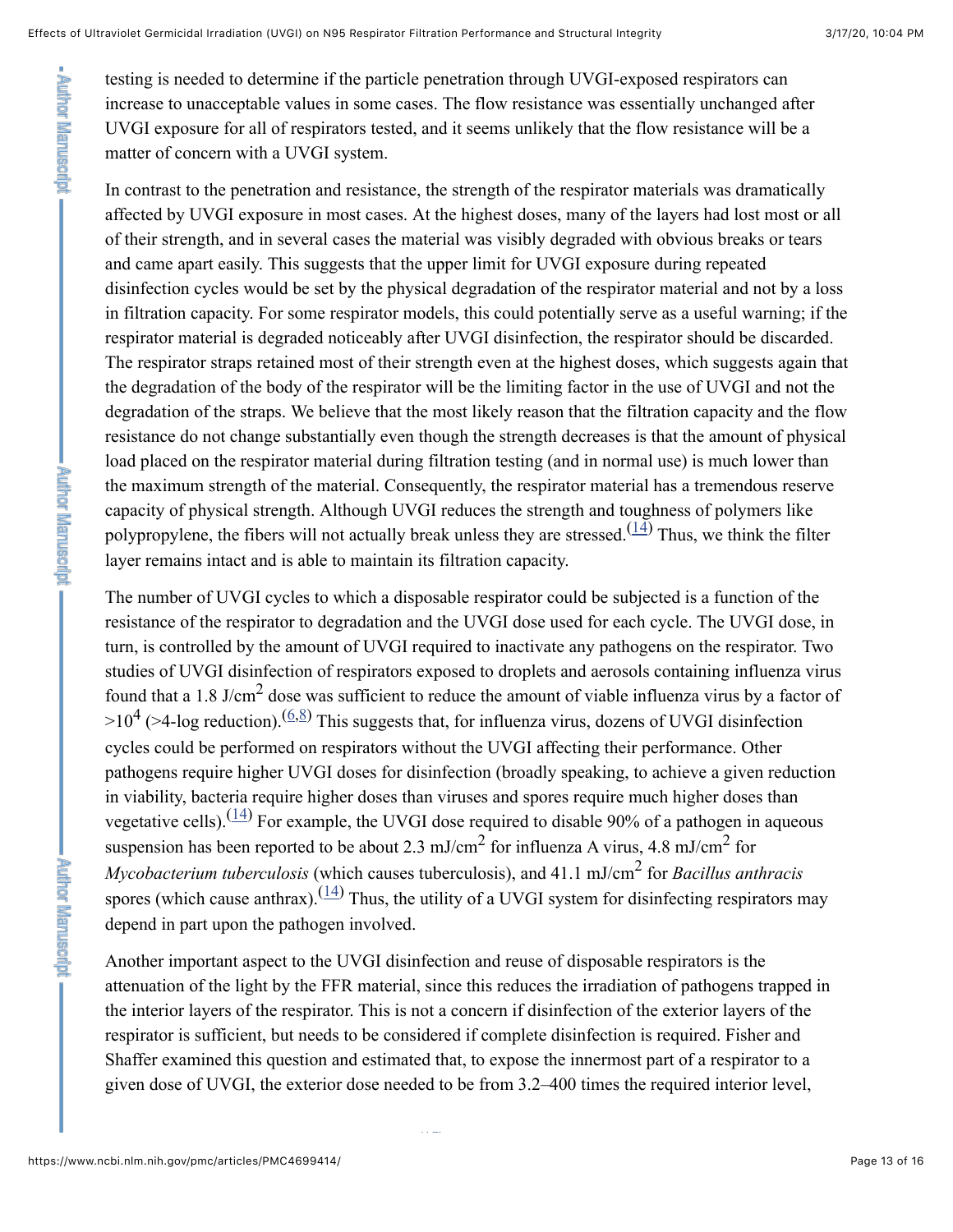**Author Marwashipt -**

**Author Marwachpt** 

**Author Marwacht** 

testing is needed to determine if the particle penetration through UVGI-exposed respirators can increase to unacceptable values in some cases. The flow resistance was essentially unchanged after UVGI exposure for all of respirators tested, and it seems unlikely that the flow resistance will be a matter of concern with a UVGI system.

In contrast to the penetration and resistance, the strength of the respirator materials was dramatically affected by UVGI exposure in most cases. At the highest doses, many of the layers had lost most or all of their strength, and in several cases the material was visibly degraded with obvious breaks or tears and came apart easily. This suggests that the upper limit for UVGI exposure during repeated disinfection cycles would be set by the physical degradation of the respirator material and not by a loss in filtration capacity. For some respirator models, this could potentially serve as a useful warning; if the respirator material is degraded noticeably after UVGI disinfection, the respirator should be discarded. The respirator straps retained most of their strength even at the highest doses, which suggests again that the degradation of the body of the respirator will be the limiting factor in the use of UVGI and not the degradation of the straps. We believe that the most likely reason that the filtration capacity and the flow resistance do not change substantially even though the strength decreases is that the amount of physical load placed on the respirator material during filtration testing (and in normal use) is much lower than the maximum strength of the material. Consequently, the respirator material has a tremendous reserve capacity of physical strength. Although UVGI reduces the strength and toughness of polymers like polypropylene, the fibers will not actually break unless they are stressed.  $\frac{(14)}{1}$  $\frac{(14)}{1}$  $\frac{(14)}{1}$  Thus, we think the filter layer remains intact and is able to maintain its filtration capacity.

The number of UVGI cycles to which a disposable respirator could be subjected is a function of the resistance of the respirator to degradation and the UVGI dose used for each cycle. The UVGI dose, in turn, is controlled by the amount of UVGI required to inactivate any pathogens on the respirator. Two studies of UVGI disinfection of respirators exposed to droplets and aerosols containing influenza virus found that a 1.8 J/cm<sup>2</sup> dose was sufficient to reduce the amount of viable influenza virus by a factor of  $>10^4$  (>4-log reduction).  $(6.8)$  $(6.8)$  $(6.8)$  This suggests that, for influenza virus, dozens of UVGI disinfection cycles could be performed on respirators without the UVGI affecting their performance. Other pathogens require higher UVGI doses for disinfection (broadly speaking, to achieve a given reduction in viability, bacteria require higher doses than viruses and spores require much higher doses than vegetative cells).  $(14)$  $(14)$  $(14)$  For example, the UVGI dose required to disable 90% of a pathogen in aqueous suspension has been reported to be about 2.3 mJ/cm<sup>2</sup> for influenza A virus, 4.8 mJ/cm<sup>2</sup> for *Mycobacterium tuberculosis* (which causes tuberculosis), and 41.1 mJ/cm<sup>2</sup> for *Bacillus anthracis* spores (which cause anthrax).  $\frac{(14)}{2}$  $\frac{(14)}{2}$  $\frac{(14)}{2}$  Thus, the utility of a UVGI system for disinfecting respirators may depend in part upon the pathogen involved.

Another important aspect to the UVGI disinfection and reuse of disposable respirators is the attenuation of the light by the FFR material, since this reduces the irradiation of pathogens trapped in the interior layers of the respirator. This is not a concern if disinfection of the exterior layers of the respirator is sufficient, but needs to be considered if complete disinfection is required. Fisher and Shaffer examined this question and estimated that, to expose the innermost part of a respirator to a given dose of UVGI, the exterior dose needed to be from 3.2–400 times the required interior level,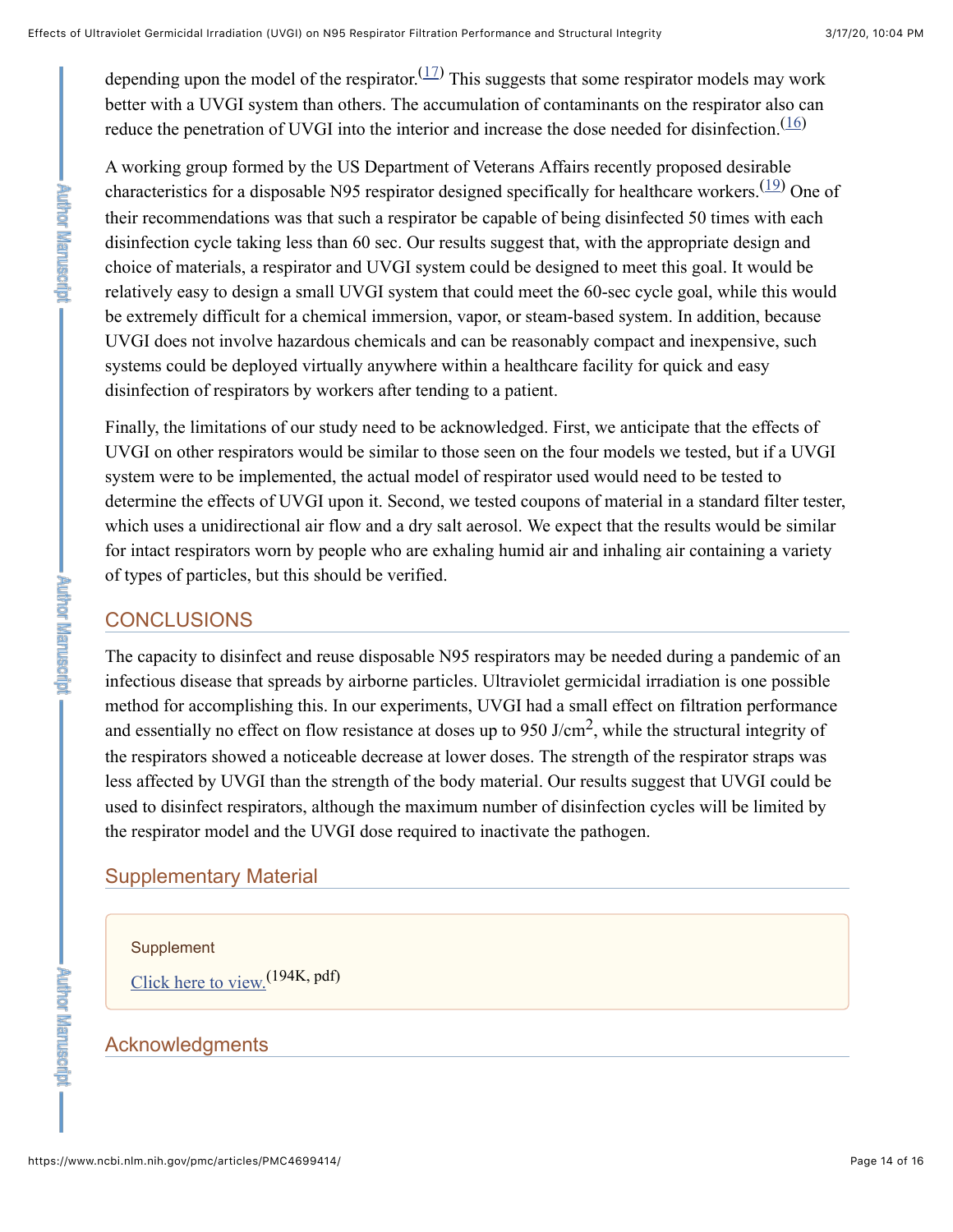depending upon the model of the respirator.  $\frac{(17)}{17}$  $\frac{(17)}{17}$  $\frac{(17)}{17}$  This suggests that some respirator models may work better with a UVGI system than others. The accumulation of contaminants on the respirator also can reduce the penetration of UVGI into the interior and increase the dose needed for disinfection.  $(16)$  $(16)$  $(16)$ 

A working group formed by the US Department of Veterans Affairs recently proposed desirable characteristics for a disposable N95 respirator designed specifically for healthcare workers.  $(19)$  $(19)$  One of their recommendations was that such a respirator be capable of being disinfected 50 times with each disinfection cycle taking less than 60 sec. Our results suggest that, with the appropriate design and choice of materials, a respirator and UVGI system could be designed to meet this goal. It would be relatively easy to design a small UVGI system that could meet the 60-sec cycle goal, while this would be extremely difficult for a chemical immersion, vapor, or steam-based system. In addition, because UVGI does not involve hazardous chemicals and can be reasonably compact and inexpensive, such systems could be deployed virtually anywhere within a healthcare facility for quick and easy disinfection of respirators by workers after tending to a patient.

Finally, the limitations of our study need to be acknowledged. First, we anticipate that the effects of UVGI on other respirators would be similar to those seen on the four models we tested, but if a UVGI system were to be implemented, the actual model of respirator used would need to be tested to determine the effects of UVGI upon it. Second, we tested coupons of material in a standard filter tester, which uses a unidirectional air flow and a dry salt aerosol. We expect that the results would be similar for intact respirators worn by people who are exhaling humid air and inhaling air containing a variety of types of particles, but this should be verified.

## **CONCLUSIONS**

The capacity to disinfect and reuse disposable N95 respirators may be needed during a pandemic of an infectious disease that spreads by airborne particles. Ultraviolet germicidal irradiation is one possible method for accomplishing this. In our experiments, UVGI had a small effect on filtration performance and essentially no effect on flow resistance at doses up to 950 J/cm<sup>2</sup>, while the structural integrity of the respirators showed a noticeable decrease at lower doses. The strength of the respirator straps was less affected by UVGI than the strength of the body material. Our results suggest that UVGI could be used to disinfect respirators, although the maximum number of disinfection cycles will be limited by the respirator model and the UVGI dose required to inactivate the pathogen.

# Supplementary Material

#### <span id="page-13-0"></span>**Supplement**

[Click here to view.](https://www.ncbi.nlm.nih.gov/pmc/articles/PMC4699414/bin/NIHMS747549-supplement-Supplement.pdf) (194K, pdf)

## **Acknowledgments**

**Author Marwachpi** 

**Author Manuscript —**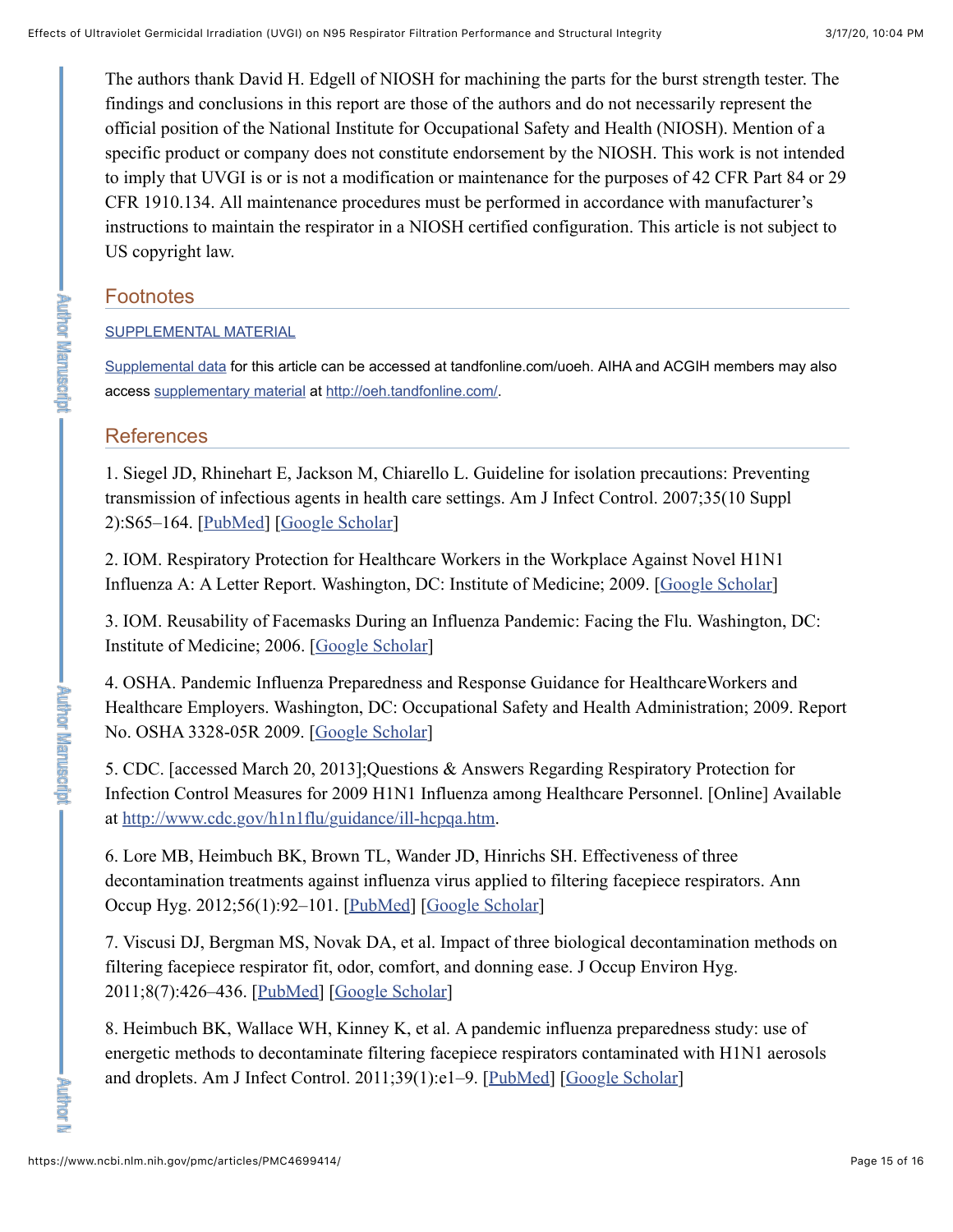The authors thank David H. Edgell of NIOSH for machining the parts for the burst strength tester. The findings and conclusions in this report are those of the authors and do not necessarily represent the official position of the National Institute for Occupational Safety and Health (NIOSH). Mention of a specific product or company does not constitute endorsement by the NIOSH. This work is not intended to imply that UVGI is or is not a modification or maintenance for the purposes of 42 CFR Part 84 or 29 CFR 1910.134. All maintenance procedures must be performed in accordance with manufacturer's instructions to maintain the respirator in a NIOSH certified configuration. This article is not subject to US copyright law.

# **Footnotes**

**Author Marnesotpt** 

**Author Marweaript** 

Author Is

#### [SUPPLEMENTAL MATERIAL](#page-13-0)

[Supplemental data](#page-13-0) for this article can be accessed at tandfonline.com/uoeh. AIHA and ACGIH members may also access [supplementary material](#page-13-0) at [http://oeh.tandfonline.com/.](http://oeh.tandfonline.com/)

# **References**

<span id="page-14-0"></span>1. Siegel JD, Rhinehart E, Jackson M, Chiarello L. Guideline for isolation precautions: Preventing transmission of infectious agents in health care settings. Am J Infect Control. 2007;35(10 Suppl 2):S65–164. [[PubMed\]](https://www.ncbi.nlm.nih.gov/pubmed/18068815) [\[Google Scholar](https://scholar.google.com/scholar_lookup?journal=Am+J+Infect+Control&title=Guideline+for+isolation+precautions:+Preventing+transmission+of+infectious+agents+in+health+care+settings&author=JD+Siegel&author=E+Rhinehart&author=M+Jackson&author=L+Chiarello&volume=35&issue=10+Suppl+2&publication_year=2007&pages=S65-164&pmid=18068815&)]

<span id="page-14-1"></span>2. IOM. Respiratory Protection for Healthcare Workers in the Workplace Against Novel H1N1 Influenza A: A Letter Report. Washington, DC: Institute of Medicine; 2009. [\[Google Scholar](https://scholar.google.com/scholar_lookup?title=Respiratory+Protection+for+Healthcare+Workers+in+the+Workplace+Against+Novel+H1N1+Influenza+A:+A+Letter+Report&publication_year=2009&)]

<span id="page-14-2"></span>3. IOM. Reusability of Facemasks During an Influenza Pandemic: Facing the Flu. Washington, DC: Institute of Medicine; 2006. [[Google Scholar\]](https://scholar.google.com/scholar_lookup?title=Reusability+of+Facemasks+During+an+Influenza+Pandemic:+Facing+the+Flu&publication_year=2006&)

<span id="page-14-3"></span>4. OSHA. Pandemic Influenza Preparedness and Response Guidance for HealthcareWorkers and Healthcare Employers. Washington, DC: Occupational Safety and Health Administration; 2009. Report No. OSHA 3328-05R 2009. [[Google Scholar\]](https://scholar.google.com/scholar_lookup?title=Pandemic+Influenza+Preparedness+and+Response+Guidance+for+HealthcareWorkers+and+Healthcare+Employers&publication_year=2009&)

<span id="page-14-4"></span>5. CDC. [accessed March 20, 2013];Questions & Answers Regarding Respiratory Protection for Infection Control Measures for 2009 H1N1 Influenza among Healthcare Personnel. [Online] Available at <http://www.cdc.gov/h1n1flu/guidance/ill-hcpqa.htm>.

<span id="page-14-5"></span>6. Lore MB, Heimbuch BK, Brown TL, Wander JD, Hinrichs SH. Effectiveness of three decontamination treatments against influenza virus applied to filtering facepiece respirators. Ann Occup Hyg. 2012;56(1):92–101. [[PubMed\]](https://www.ncbi.nlm.nih.gov/pubmed/21859950) [\[Google Scholar](https://scholar.google.com/scholar_lookup?journal=Ann+Occup+Hyg&title=Effectiveness+of+three+decontamination+treatments+against+influenza+virus+applied+to+filtering+facepiece+respirators&author=MB+Lore&author=BK+Heimbuch&author=TL+Brown&author=JD+Wander&author=SH+Hinrichs&volume=56&issue=1&publication_year=2012&pages=92-101&pmid=21859950&)]

<span id="page-14-7"></span>7. Viscusi DJ, Bergman MS, Novak DA, et al. Impact of three biological decontamination methods on filtering facepiece respirator fit, odor, comfort, and donning ease. J Occup Environ Hyg. 2011;8(7):426–436. [[PubMed\]](https://www.ncbi.nlm.nih.gov/pubmed/21732856) [\[Google Scholar](https://scholar.google.com/scholar_lookup?journal=J+Occup+Environ+Hyg&title=Impact+of+three+biological+decontamination+methods+on+filtering+facepiece+respirator+fit,+odor,+comfort,+and+donning+ease&author=DJ+Viscusi&author=MS+Bergman&author=DA+Novak&volume=8&issue=7&publication_year=2011&pages=426-436&pmid=21732856&)]

<span id="page-14-6"></span>8. Heimbuch BK, Wallace WH, Kinney K, et al. A pandemic influenza preparedness study: use of energetic methods to decontaminate filtering facepiece respirators contaminated with H1N1 aerosols and droplets. Am J Infect Control. 2011;39(1):e1-9. [\[PubMed](https://www.ncbi.nlm.nih.gov/pubmed/21145624)] [[Google Scholar\]](https://scholar.google.com/scholar_lookup?journal=Am+J+Infect+Control&title=A+pandemic+influenza+preparedness+study:+use+of+energetic+methods+to+decontaminate+filtering+facepiece+respirators+contaminated+with+H1N1+aerosols+and+droplets&author=BK+Heimbuch&author=WH+Wallace&author=K+Kinney&volume=39&issue=1&publication_year=2011&pages=e1-9&pmid=21145624&)